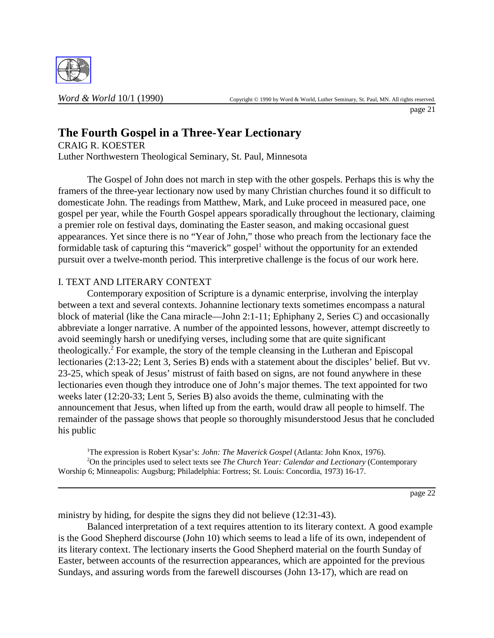

page 21

# **The Fourth Gospel in a Three-Year Lectionary**

CRAIG R. KOESTER Luther Northwestern Theological Seminary, St. Paul, Minnesota

The Gospel of John does not march in step with the other gospels. Perhaps this is why the framers of the three-year lectionary now used by many Christian churches found it so difficult to domesticate John. The readings from Matthew, Mark, and Luke proceed in measured pace, one gospel per year, while the Fourth Gospel appears sporadically throughout the lectionary, claiming a premier role on festival days, dominating the Easter season, and making occasional guest appearances. Yet since there is no "Year of John," those who preach from the lectionary face the formidable task of capturing this "maverick" gospel<sup>1</sup> without the opportunity for an extended pursuit over a twelve-month period. This interpretive challenge is the focus of our work here.

## I. TEXT AND LITERARY CONTEXT

Contemporary exposition of Scripture is a dynamic enterprise, involving the interplay between a text and several contexts. Johannine lectionary texts sometimes encompass a natural block of material (like the Cana miracle—John 2:1-11; Ephiphany 2, Series C) and occasionally abbreviate a longer narrative. A number of the appointed lessons, however, attempt discreetly to avoid seemingly harsh or unedifying verses, including some that are quite significant theologically.<sup>2</sup> For example, the story of the temple cleansing in the Lutheran and Episcopal lectionaries (2:13-22; Lent 3, Series B) ends with a statement about the disciples' belief. But vv. 23-25, which speak of Jesus' mistrust of faith based on signs, are not found anywhere in these lectionaries even though they introduce one of John's major themes. The text appointed for two weeks later (12:20-33; Lent 5, Series B) also avoids the theme, culminating with the announcement that Jesus, when lifted up from the earth, would draw all people to himself. The remainder of the passage shows that people so thoroughly misunderstood Jesus that he concluded his public

<sup>1</sup>The expression is Robert Kysar's: *John: The Maverick Gospel* (Atlanta: John Knox, 1976). 2 On the principles used to select texts see *The Church Year: Calendar and Lectionary* (Contemporary Worship 6; Minneapolis: Augsburg; Philadelphia: Fortress; St. Louis: Concordia, 1973) 16-17.

page 22

ministry by hiding, for despite the signs they did not believe (12:31-43).

Balanced interpretation of a text requires attention to its literary context. A good example is the Good Shepherd discourse (John 10) which seems to lead a life of its own, independent of its literary context. The lectionary inserts the Good Shepherd material on the fourth Sunday of Easter, between accounts of the resurrection appearances, which are appointed for the previous Sundays, and assuring words from the farewell discourses (John 13-17), which are read on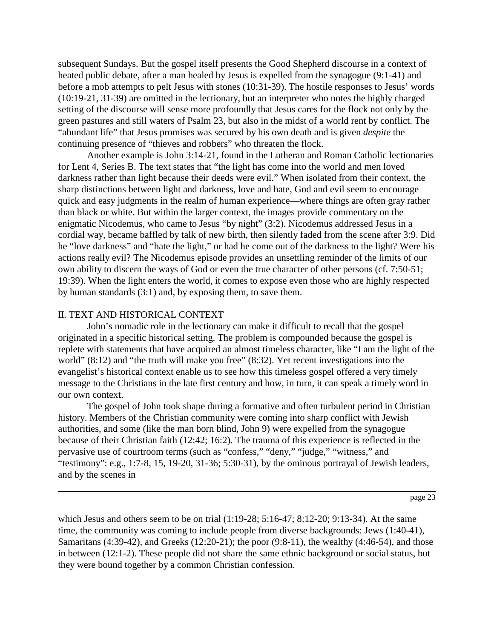subsequent Sundays. But the gospel itself presents the Good Shepherd discourse in a context of heated public debate, after a man healed by Jesus is expelled from the synagogue (9:1-41) and before a mob attempts to pelt Jesus with stones (10:31-39). The hostile responses to Jesus' words (10:19-21, 31-39) are omitted in the lectionary, but an interpreter who notes the highly charged setting of the discourse will sense more profoundly that Jesus cares for the flock not only by the green pastures and still waters of Psalm 23, but also in the midst of a world rent by conflict. The "abundant life" that Jesus promises was secured by his own death and is given *despite* the continuing presence of "thieves and robbers" who threaten the flock.

Another example is John 3:14-21, found in the Lutheran and Roman Catholic lectionaries for Lent 4, Series B. The text states that "the light has come into the world and men loved darkness rather than light because their deeds were evil." When isolated from their context, the sharp distinctions between light and darkness, love and hate, God and evil seem to encourage quick and easy judgments in the realm of human experience—where things are often gray rather than black or white. But within the larger context, the images provide commentary on the enigmatic Nicodemus, who came to Jesus "by night" (3:2). Nicodemus addressed Jesus in a cordial way, became baffled by talk of new birth, then silently faded from the scene after 3:9. Did he "love darkness" and "hate the light," or had he come out of the darkness to the light? Were his actions really evil? The Nicodemus episode provides an unsettling reminder of the limits of our own ability to discern the ways of God or even the true character of other persons (cf. 7:50-51; 19:39). When the light enters the world, it comes to expose even those who are highly respected by human standards (3:1) and, by exposing them, to save them.

#### II. TEXT AND HISTORICAL CONTEXT

John's nomadic role in the lectionary can make it difficult to recall that the gospel originated in a specific historical setting. The problem is compounded because the gospel is replete with statements that have acquired an almost timeless character, like "I am the light of the world" (8:12) and "the truth will make you free" (8:32). Yet recent investigations into the evangelist's historical context enable us to see how this timeless gospel offered a very timely message to the Christians in the late first century and how, in turn, it can speak a timely word in our own context.

The gospel of John took shape during a formative and often turbulent period in Christian history. Members of the Christian community were coming into sharp conflict with Jewish authorities, and some (like the man born blind, John 9) were expelled from the synagogue because of their Christian faith (12:42; 16:2). The trauma of this experience is reflected in the pervasive use of courtroom terms (such as "confess," "deny," "judge," "witness," and "testimony": e.g., 1:7-8, 15, 19-20, 31-36; 5:30-31), by the ominous portrayal of Jewish leaders, and by the scenes in

page 23

which Jesus and others seem to be on trial (1:19-28; 5:16-47; 8:12-20; 9:13-34). At the same time, the community was coming to include people from diverse backgrounds: Jews (1:40-41), Samaritans (4:39-42), and Greeks (12:20-21); the poor (9:8-11), the wealthy (4:46-54), and those in between (12:1-2). These people did not share the same ethnic background or social status, but they were bound together by a common Christian confession.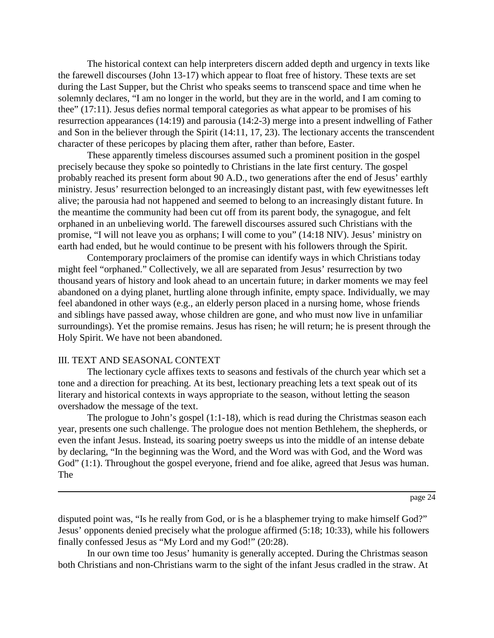The historical context can help interpreters discern added depth and urgency in texts like the farewell discourses (John 13-17) which appear to float free of history. These texts are set during the Last Supper, but the Christ who speaks seems to transcend space and time when he solemnly declares, "I am no longer in the world, but they are in the world, and I am coming to thee" (17:11). Jesus defies normal temporal categories as what appear to be promises of his resurrection appearances (14:19) and parousia (14:2-3) merge into a present indwelling of Father and Son in the believer through the Spirit (14:11, 17, 23). The lectionary accents the transcendent character of these pericopes by placing them after, rather than before, Easter.

These apparently timeless discourses assumed such a prominent position in the gospel precisely because they spoke so pointedly to Christians in the late first century. The gospel probably reached its present form about 90 A.D., two generations after the end of Jesus' earthly ministry. Jesus' resurrection belonged to an increasingly distant past, with few eyewitnesses left alive; the parousia had not happened and seemed to belong to an increasingly distant future. In the meantime the community had been cut off from its parent body, the synagogue, and felt orphaned in an unbelieving world. The farewell discourses assured such Christians with the promise, "I will not leave you as orphans; I will come to you" (14:18 NIV). Jesus' ministry on earth had ended, but he would continue to be present with his followers through the Spirit.

Contemporary proclaimers of the promise can identify ways in which Christians today might feel "orphaned." Collectively, we all are separated from Jesus' resurrection by two thousand years of history and look ahead to an uncertain future; in darker moments we may feel abandoned on a dying planet, hurtling alone through infinite, empty space. Individually, we may feel abandoned in other ways (e.g., an elderly person placed in a nursing home, whose friends and siblings have passed away, whose children are gone, and who must now live in unfamiliar surroundings). Yet the promise remains. Jesus has risen; he will return; he is present through the Holy Spirit. We have not been abandoned.

#### III. TEXT AND SEASONAL CONTEXT

The lectionary cycle affixes texts to seasons and festivals of the church year which set a tone and a direction for preaching. At its best, lectionary preaching lets a text speak out of its literary and historical contexts in ways appropriate to the season, without letting the season overshadow the message of the text.

The prologue to John's gospel (1:1-18), which is read during the Christmas season each year, presents one such challenge. The prologue does not mention Bethlehem, the shepherds, or even the infant Jesus. Instead, its soaring poetry sweeps us into the middle of an intense debate by declaring, "In the beginning was the Word, and the Word was with God, and the Word was God" (1:1). Throughout the gospel everyone, friend and foe alike, agreed that Jesus was human. The

disputed point was, "Is he really from God, or is he a blasphemer trying to make himself God?" Jesus' opponents denied precisely what the prologue affirmed (5:18; 10:33), while his followers finally confessed Jesus as "My Lord and my God!" (20:28).

In our own time too Jesus' humanity is generally accepted. During the Christmas season both Christians and non-Christians warm to the sight of the infant Jesus cradled in the straw. At

page 24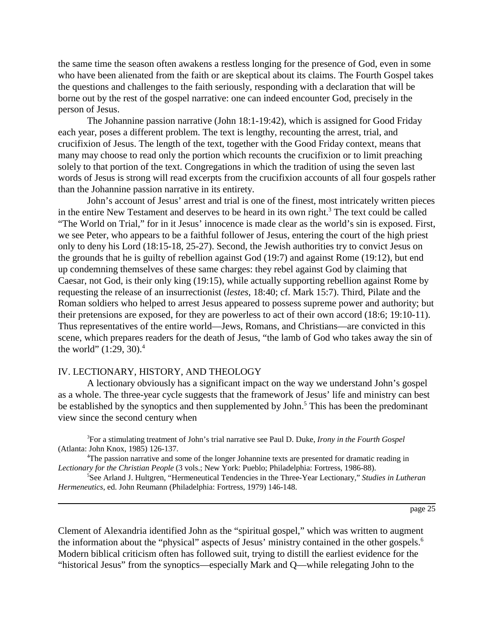the same time the season often awakens a restless longing for the presence of God, even in some who have been alienated from the faith or are skeptical about its claims. The Fourth Gospel takes the questions and challenges to the faith seriously, responding with a declaration that will be borne out by the rest of the gospel narrative: one can indeed encounter God, precisely in the person of Jesus.

The Johannine passion narrative (John 18:1-19:42), which is assigned for Good Friday each year, poses a different problem. The text is lengthy, recounting the arrest, trial, and crucifixion of Jesus. The length of the text, together with the Good Friday context, means that many may choose to read only the portion which recounts the crucifixion or to limit preaching solely to that portion of the text. Congregations in which the tradition of using the seven last words of Jesus is strong will read excerpts from the crucifixion accounts of all four gospels rather than the Johannine passion narrative in its entirety.

John's account of Jesus' arrest and trial is one of the finest, most intricately written pieces in the entire New Testament and deserves to be heard in its own right.<sup>3</sup> The text could be called "The World on Trial," for in it Jesus' innocence is made clear as the world's sin is exposed. First, we see Peter, who appears to be a faithful follower of Jesus, entering the court of the high priest only to deny his Lord (18:15-18, 25-27). Second, the Jewish authorities try to convict Jesus on the grounds that he is guilty of rebellion against God (19:7) and against Rome (19:12), but end up condemning themselves of these same charges: they rebel against God by claiming that Caesar, not God, is their only king (19:15), while actually supporting rebellion against Rome by requesting the release of an insurrectionist (*lestes*, 18:40; cf. Mark 15:7). Third, Pilate and the Roman soldiers who helped to arrest Jesus appeared to possess supreme power and authority; but their pretensions are exposed, for they are powerless to act of their own accord (18:6; 19:10-11). Thus representatives of the entire world—Jews, Romans, and Christians—are convicted in this scene, which prepares readers for the death of Jesus, "the lamb of God who takes away the sin of the world"  $(1:29, 30).$ <sup>4</sup>

### IV. LECTIONARY, HISTORY, AND THEOLOGY

A lectionary obviously has a significant impact on the way we understand John's gospel as a whole. The three-year cycle suggests that the framework of Jesus' life and ministry can best be established by the synoptics and then supplemented by John.<sup>5</sup> This has been the predominant view since the second century when

3 For a stimulating treatment of John's trial narrative see Paul D. Duke, *Irony in the Fourth Gospel* (Atlanta: John Knox, 1985) 126-137.

4 The passion narrative and some of the longer Johannine texts are presented for dramatic reading in *Lectionary for the Christian People* (3 vols.; New York: Pueblo; Philadelphia: Fortress, 1986-88).

5 See Arland J. Hultgren, "Hermeneutical Tendencies in the Three-Year Lectionary," *Studies in Lutheran Hermeneutics*, ed. John Reumann (Philadelphia: Fortress, 1979) 146-148.

page 25

Clement of Alexandria identified John as the "spiritual gospel," which was written to augment the information about the "physical" aspects of Jesus' ministry contained in the other gospels.6 Modern biblical criticism often has followed suit, trying to distill the earliest evidence for the "historical Jesus" from the synoptics—especially Mark and Q—while relegating John to the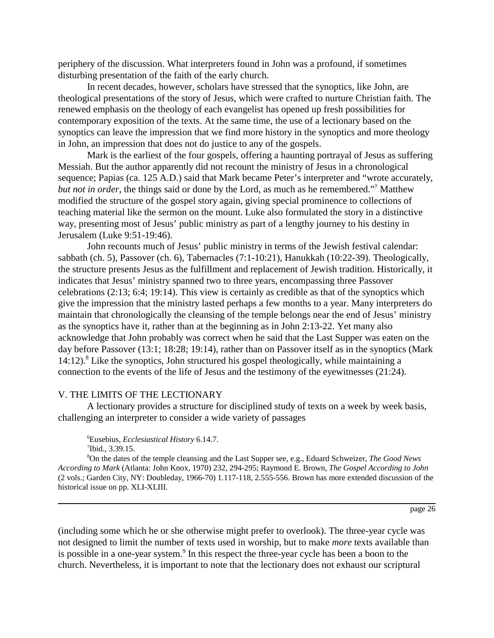periphery of the discussion. What interpreters found in John was a profound, if sometimes disturbing presentation of the faith of the early church.

In recent decades, however, scholars have stressed that the synoptics, like John, are theological presentations of the story of Jesus, which were crafted to nurture Christian faith. The renewed emphasis on the theology of each evangelist has opened up fresh possibilities for contemporary exposition of the texts. At the same time, the use of a lectionary based on the synoptics can leave the impression that we find more history in the synoptics and more theology in John, an impression that does not do justice to any of the gospels.

Mark is the earliest of the four gospels, offering a haunting portrayal of Jesus as suffering Messiah. But the author apparently did not recount the ministry of Jesus in a chronological sequence; Papias (ca. 125 A.D.) said that Mark became Peter's interpreter and "wrote accurately, *but not in order*, the things said or done by the Lord, as much as he remembered."7 Matthew modified the structure of the gospel story again, giving special prominence to collections of teaching material like the sermon on the mount. Luke also formulated the story in a distinctive way, presenting most of Jesus' public ministry as part of a lengthy journey to his destiny in Jerusalem (Luke 9:51-19:46).

John recounts much of Jesus' public ministry in terms of the Jewish festival calendar: sabbath (ch. 5), Passover (ch. 6), Tabernacles (7:1-10:21), Hanukkah (10:22-39). Theologically, the structure presents Jesus as the fulfillment and replacement of Jewish tradition. Historically, it indicates that Jesus' ministry spanned two to three years, encompassing three Passover celebrations (2:13; 6:4; 19:14). This view is certainly as credible as that of the synoptics which give the impression that the ministry lasted perhaps a few months to a year. Many interpreters do maintain that chronologically the cleansing of the temple belongs near the end of Jesus' ministry as the synoptics have it, rather than at the beginning as in John 2:13-22. Yet many also acknowledge that John probably was correct when he said that the Last Supper was eaten on the day before Passover (13:1; 18:28; 19:14), rather than on Passover itself as in the synoptics (Mark 14:12).<sup>8</sup> Like the synoptics, John structured his gospel theologically, while maintaining a connection to the events of the life of Jesus and the testimony of the eyewitnesses (21:24).

#### V. THE LIMITS OF THE LECTIONARY

A lectionary provides a structure for disciplined study of texts on a week by week basis, challenging an interpreter to consider a wide variety of passages

6 Eusebius, *Ecclesiastical History* 6.14.7.  $7$ Ibid., 3.39.15.

8 On the dates of the temple cleansing and the Last Supper see, e.g., Eduard Schweizer, *The Good News According to Mark* (Atlanta: John Knox, 1970) 232, 294-295; Raymond E. Brown, *The Gospel According to John* (2 vols.; Garden City, NY: Doubleday, 1966-70) 1.117-118, 2.555-556. Brown has more extended discussion of the historical issue on pp. XLI-XLIII.

page 26

(including some which he or she otherwise might prefer to overlook). The three-year cycle was not designed to limit the number of texts used in worship, but to make *more* texts available than is possible in a one-year system.<sup>9</sup> In this respect the three-year cycle has been a boon to the church. Nevertheless, it is important to note that the lectionary does not exhaust our scriptural